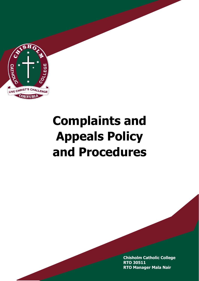

# **Complaints and Appeals Policy and Procedures**

**Chisholm Catholic College RTO 30511 RTO Manager Mala Nair**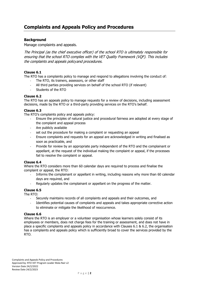## **Background**

Manage complaints and appeals.

The Principal (as the chief executive officer) of the school RTO is ultimately responsible for ensuring that the school RTO complies with the VET Quality Framework (VQF). This includes the complaints and appeals policy and procedures.

### **Clause 6.1**

The RTO has a complaints policy to manage and respond to allegations involving the conduct of:

- The RTO, its trainers, assessors, or other staff
- All third parties providing services on behalf of the school RTO (if relevant)
- Students of the RTO

### **Clause 6.2**

The RTO has an appeals policy to manage requests for a review of decisions, including assessment decisions, made by the RTO or a third-party providing services on the RTO's behalf.

#### **Clause 6.3**

The RTO's complaints policy and appeals policy:

- Ensure the principles of natural justice and procedural fairness are adopted at every stage of the complaint and appeal process
- Are publicly available
- set out the procedure for making a complaint or requesting an appeal
- Ensure complaints and requests for an appeal are acknowledged in writing and finalised as soon as practicable, and
- Provide for review by an appropriate party independent of the RTO and the complainant or appellant, at the request of the individual making the complaint or appeal, if the processes fail to resolve the complaint or appeal.

#### **Clause 6.4**

Where the RTO considers more than 60 calendar days are required to process and finalise the complaint or appeal, the RTO:

- Informs the complainant or appellant in writing, including reasons why more than 60 calendar days are required, and
- Regularly updates the complainant or appellant on the progress of the matter.

#### **Clause 6.5**

The RTO:

- Securely maintains records of all complaints and appeals and their outcomes, and
- Identifies potential causes of complaints and appeals and takes appropriate corrective action to eliminate or mitigate the likelihood of reoccurrence.

#### **Clause 6.6**

Where the RTO is an employer or a volunteer organisation whose learners solely consist of its employees or members, does not charge fees for the training or assessment, and does not have in place a specific complaints and appeals policy in accordance with Clauses 6.1 & 6.2, the organisation has a complaints and appeals policy which is sufficiently broad to cover the services provided by the RTO.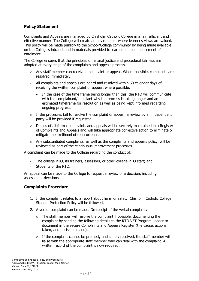# **Policy Statement**

Complaints and Appeals are managed by Chisholm Catholic College in a fair, efficient and effective manner. The College will create an environment where learner's views are valued. This policy will be made publicly to the School/College community by being made available on the College's intranet and in materials provided to learners on commencement of enrolment.

The College ensures that the principles of natural justice and procedural fairness are adopted at every stage of the complaints and appeals process.

- o Any staff member can receive a complaint or appeal. Where possible, complaints are resolved immediately.
- $\circ$  All complaints and appeals are heard and resolved within 60 calendar days of receiving the written complaint or appeal, where possible.
	- In the case of the time frame being longer than this, the RTO will communicate with the complainant/appellant why the process is taking longer and an estimated timeframe for resolution as well as being kept informed regarding ongoing progress.
- $\circ$  If the processes fail to resolve the complaint or appeal, a review by an independent party will be provided if requested.
- o Details of all formal complaints and appeals will be securely maintained in a Register of Complaints and Appeals and will take appropriate corrective action to eliminate or mitigate the likelihood of reoccurrence.
- $\circ$  Any substantiated complaints, as well as the complaints and appeals policy, will be reviewed as part of the continuous improvement processes.

A complaint can be made to the College regarding the conduct of:

- The college RTO, its trainers, assessors, or other college RTO staff; and
- Students of the RTO.

An appeal can be made to the College to request a review of a decision, including assessment decisions.

## **Complaints Procedure**

- 1. If the complaint relates to a report about harm or safety, Chisholm Catholic College Student Protection Policy will be followed.
- 2. A verbal complaint can be made. On receipt of the verbal complaint:
	- $\circ$  The staff member will resolve the complaint if possible, documenting the complaint by sending the following details to the RTO VET Program Leader to document in the secure Complaints and Appeals Register (the cause, actions taken, and decisions made).
	- $\circ$  If the complaint cannot be promptly and simply resolved, the staff member will liaise with the appropriate staff member who can deal with the complaint. A written record of the complaint is now required.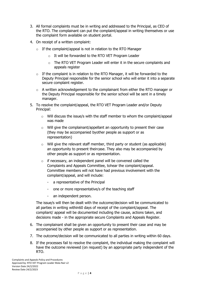- 3. All formal complaints must be in writing and addressed to the Principal, as CEO of the RTO. The complainant can put the complaint/appeal in writing themselves or use the complaint form available on student portal.
- 4. On receipt of a written complaint:
	- $\circ$  If the complaint/appeal is not in relation to the RTO Manager
		- o It will be forwarded to the RTO VET Program Leader
		- o The RTO VET Program Leader will enter it in the secure complaints and appeals register
	- $\circ$  If the complaint is in relation to the RTO Manager, it will be forwarded to the Deputy Principal responsible for the senior school who will enter it into a separate secure complaint register.
	- $\circ$  A written acknowledgement to the complainant from either the RTO manager or the Deputy Principal responsible for the senior school will be sent in a timely manager.
- 5. To resolve the complaint/appeal, the RTO VET Program Leader and/or Deputy Principal:
	- $\circ$  Will discuss the issue/s with the staff member to whom the complaint/appeal was made
	- o Will give the complainant/appellant an opportunity to present their case (they may be accompanied byother people as support or as representation)
	- $\circ$  Will give the relevant staff member, third party or student (as applicable) an opportunity to present theircase. They also may be accompanied by other people as support or as representation.
	- $\circ$  if necessary, an independent panel will be convened called the Complaints and Appeals Committee, tohear the complaint/appeal. Committee members will not have had previous involvement with the complaint/appeal, and will include:
		- a representative of the Principal
		- one or more representative/s of the teaching staff
		- an independent person.

The issue/s will then be dealt with the outcome/decision will be communicated to all parties in writing within60 days of receipt of the complaint/appeal. The compliant/ appeal will be documented including the cause, actions taken, and decisions made - in the appropriate secure Complaints and Appeals Register.

- 6. The complainant shall be given an opportunity to present their case and may be accompanied by other people as support or as representation.
- 7. The outcome/decision will be communicated to all parties in writing within 60 days.
- 8. If the processes fail to resolve the complaint, the individual making the complaint will have the outcome reviewed (on request) by an appropriate party independent of the RTO.